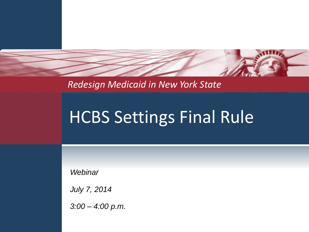

*Redesign Medicaid in New York State* 

# HCBS Settings Final Rule

*Webinar*

*July 7, 2014*

*3:00 – 4:00 p.m.*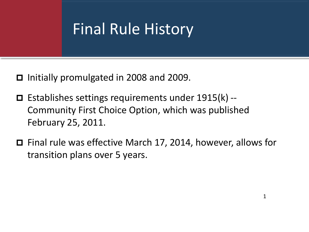### Final Rule History

- Initially promulgated in 2008 and 2009.
- Establishes settings requirements under 1915(k) -- Community First Choice Option, which was published February 25, 2011.
- Final rule was effective March 17, 2014, however, allows for transition plans over 5 years.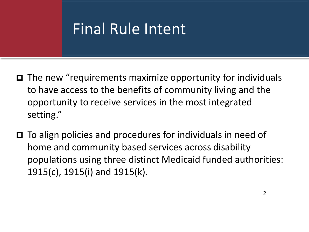### Final Rule Intent

- $\Box$  The new "requirements maximize opportunity for individuals to have access to the benefits of community living and the opportunity to receive services in the most integrated setting."
- $\Box$  To align policies and procedures for individuals in need of home and community based services across disability populations using three distinct Medicaid funded authorities: 1915(c), 1915(i) and 1915(k).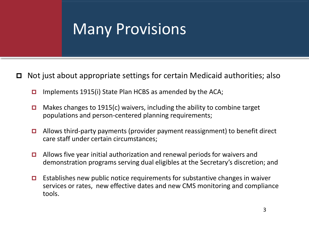### Many Provisions

 $\Box$  Not just about appropriate settings for certain Medicaid authorities; also

- **Implements 1915(i) State Plan HCBS as amended by the ACA;**
- **D** Makes changes to 1915(c) waivers, including the ability to combine target populations and person-centered planning requirements;
- $\Box$  Allows third-party payments (provider payment reassignment) to benefit direct care staff under certain circumstances;
- $\Box$  Allows five year initial authorization and renewal periods for waivers and demonstration programs serving dual eligibles at the Secretary's discretion; and
- **Establishes new public notice requirements for substantive changes in waiver** services or rates, new effective dates and new CMS monitoring and compliance tools.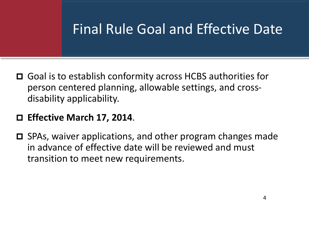### Final Rule Goal and Effective Date

- Goal is to establish conformity across HCBS authorities for person centered planning, allowable settings, and crossdisability applicability.
- **Effective March 17, 2014**.
- $\Box$  SPAs, waiver applications, and other program changes made in advance of effective date will be reviewed and must transition to meet new requirements.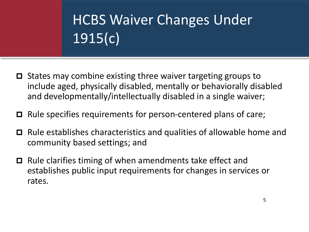# HCBS Waiver Changes Under 1915(c)

- $\Box$  States may combine existing three waiver targeting groups to include aged, physically disabled, mentally or behaviorally disabled and developmentally/intellectually disabled in a single waiver;
- $\Box$  Rule specifies requirements for person-centered plans of care;
- Rule establishes characteristics and qualities of allowable home and community based settings; and
- $\Box$  Rule clarifies timing of when amendments take effect and establishes public input requirements for changes in services or rates.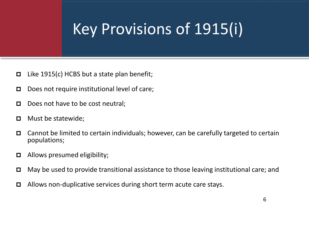# Key Provisions of 1915(i)

- $□$  Like 1915(c) HCBS but a state plan benefit;
- D Does not require institutional level of care;
- $\Box$  Does not have to be cost neutral;
- $\Box$  Must be statewide;
- $\Box$  Cannot be limited to certain individuals; however, can be carefully targeted to certain populations;
- $\Box$  Allows presumed eligibility;
- May be used to provide transitional assistance to those leaving institutional care; and
- Allows non-duplicative services during short term acute care stays.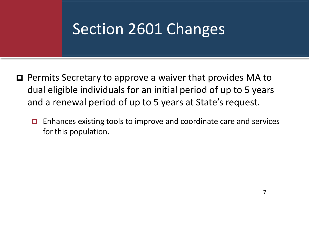### Section 2601 Changes

- $\Box$  Permits Secretary to approve a waiver that provides MA to dual eligible individuals for an initial period of up to 5 years and a renewal period of up to 5 years at State's request.
	- $\Box$  Enhances existing tools to improve and coordinate care and services for this population.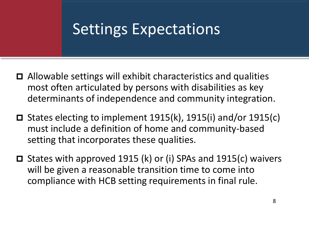### Settings Expectations

- $\Box$  Allowable settings will exhibit characteristics and qualities most often articulated by persons with disabilities as key determinants of independence and community integration.
- □ States electing to implement  $1915(k)$ ,  $1915(i)$  and/or  $1915(c)$ must include a definition of home and community-based setting that incorporates these qualities.
- □ States with approved 1915 (k) or (i) SPAs and 1915(c) waivers will be given a reasonable transition time to come into compliance with HCB setting requirements in final rule.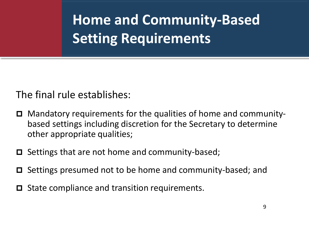The final rule establishes:

- Mandatory requirements for the qualities of home and communitybased settings including discretion for the Secretary to determine other appropriate qualities;
- $\Box$  Settings that are not home and community-based;
- Settings presumed not to be home and community-based; and
- $\Box$  State compliance and transition requirements.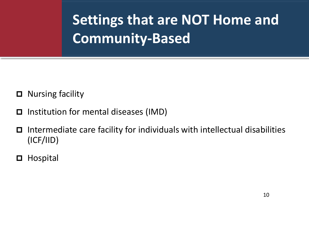**Settings that are NOT Home and Community-Based** 

- □ Nursing facility
- $\Box$  Institution for mental diseases (IMD)
- Intermediate care facility for individuals with intellectual disabilities (ICF/IID)
- □ Hospital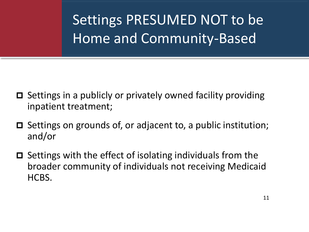Settings PRESUMED NOT to be Home and Community-Based

- $\Box$  Settings in a publicly or privately owned facility providing inpatient treatment;
- $\Box$  Settings on grounds of, or adjacent to, a public institution; and/or
- $\Box$  Settings with the effect of isolating individuals from the broader community of individuals not receiving Medicaid HCBS.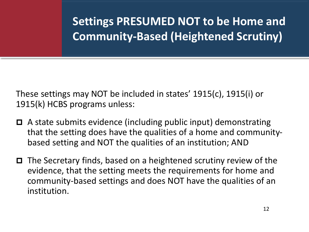**Settings PRESUMED NOT to be Home and Community-Based (Heightened Scrutiny)** 

These settings may NOT be included in states' 1915(c), 1915(i) or 1915(k) HCBS programs unless:

- A state submits evidence (including public input) demonstrating that the setting does have the qualities of a home and communitybased setting and NOT the qualities of an institution; AND
- $\Box$  The Secretary finds, based on a heightened scrutiny review of the evidence, that the setting meets the requirements for home and community-based settings and does NOT have the qualities of an institution.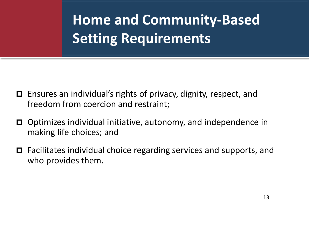- Ensures an individual's rights of privacy, dignity, respect, and freedom from coercion and restraint;
- Optimizes individual initiative, autonomy, and independence in making life choices; and
- Facilitates individual choice regarding services and supports, and who provides them.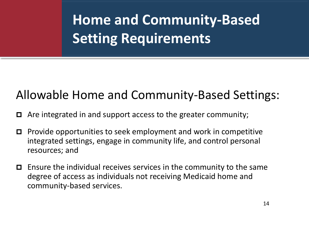### Allowable Home and Community-Based Settings:

- $\Box$  Are integrated in and support access to the greater community;
- $\Box$  Provide opportunities to seek employment and work in competitive integrated settings, engage in community life, and control personal resources; and
- $\Box$  Ensure the individual receives services in the community to the same degree of access as individuals not receiving Medicaid home and community-based services.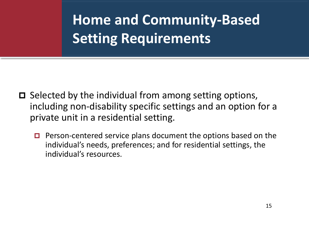- $\Box$  Selected by the individual from among setting options, including non-disability specific settings and an option for a private unit in a residential setting.
	- **Person-centered service plans document the options based on the** individual's needs, preferences; and for residential settings, the individual's resources.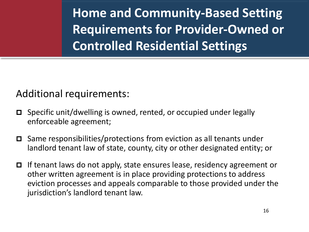**Home and Community-Based Setting Requirements for Provider-Owned or Controlled Residential Settings**

#### Additional requirements:

- Specific unit/dwelling is owned, rented, or occupied under legally enforceable agreement;
- $\Box$  Same responsibilities/protections from eviction as all tenants under landlord tenant law of state, county, city or other designated entity; or
- $\Box$  If tenant laws do not apply, state ensures lease, residency agreement or other written agreement is in place providing protections to address eviction processes and appeals comparable to those provided under the jurisdiction's landlord tenant law.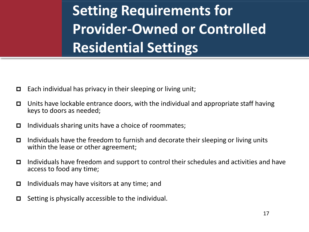**Setting Requirements for Provider-Owned or Controlled Residential Settings** 

- $\Box$  Each individual has privacy in their sleeping or living unit;
- $\Box$  Units have lockable entrance doors, with the individual and appropriate staff having keys to doors as needed;
- Individuals sharing units have a choice of roommates;
- Individuals have the freedom to furnish and decorate their sleeping or living units within the lease or other agreement;
- Individuals have freedom and support to control their schedules and activities and have access to food any time;
- Individuals may have visitors at any time; and
- $\Box$  Setting is physically accessible to the individual.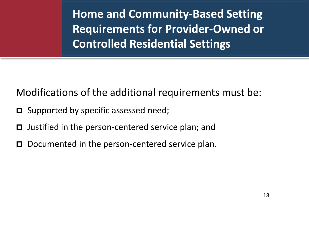**Home and Community-Based Setting Requirements for Provider-Owned or Controlled Residential Settings** 

Modifications of the additional requirements must be:

- $\Box$  Supported by specific assessed need;
- $\Box$  Justified in the person-centered service plan; and
- D Documented in the person-centered service plan.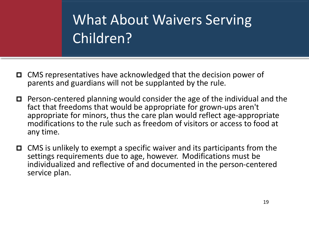### What About Waivers Serving Children?

- CMS representatives have acknowledged that the decision power of parents and guardians will not be supplanted by the rule.
- Person-centered planning would consider the age of the individual and the fact that freedoms that would be appropriate for grown-ups aren't appropriate for minors, thus the care plan would reflect age-appropriate modifications to the rule such as freedom of visitors or access to food at any time.
- $\Box$  CMS is unlikely to exempt a specific waiver and its participants from the settings requirements due to age, however. Modifications must be individualized and reflective of and documented in the person-centered service plan.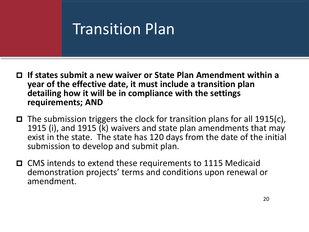### Transition Plan

- **If states submit a new waiver or State Plan Amendment within a year of the effective date, it must include a transition plan detailing how it will be in compliance with the settings requirements; AND**
- The submission triggers the clock for transition plans for all 1915(c), 1915 (i), and 1915 (k) waivers and state plan amendments that may exist in the state. The state has 120 days from the date of the initial submission to develop and submit plan.
- CMS intends to extend these requirements to 1115 Medicaid demonstration projects' terms and conditions upon renewal or amendment.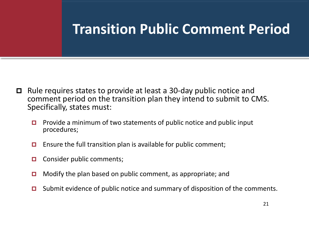### **Transition Public Comment Period**

- $\Box$  Rule requires states to provide at least a 30-day public notice and comment period on the transition plan they intend to submit to CMS. Specifically, states must:
	- **Provide a minimum of two statements of public notice and public input** procedures;
	- **E** Ensure the full transition plan is available for public comment;
	- **O** Consider public comments;
	- **D** Modify the plan based on public comment, as appropriate; and
	- $\Box$  Submit evidence of public notice and summary of disposition of the comments.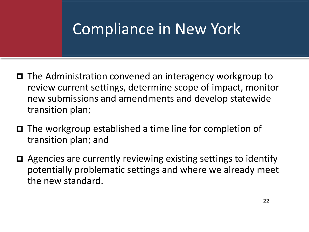### Compliance in New York

- $\Box$  The Administration convened an interagency workgroup to review current settings, determine scope of impact, monitor new submissions and amendments and develop statewide transition plan;
- The workgroup established a time line for completion of transition plan; and
- Agencies are currently reviewing existing settings to identify potentially problematic settings and where we already meet the new standard.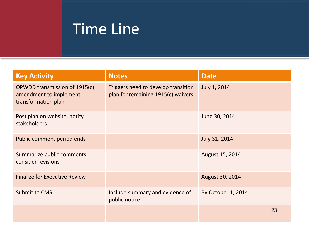## Time Line

| <b>Key Activity</b>                                                            | <b>Notes</b>                                                               | <b>Date</b>        |
|--------------------------------------------------------------------------------|----------------------------------------------------------------------------|--------------------|
| OPWDD transmission of 1915(c)<br>amendment to implement<br>transformation plan | Triggers need to develop transition<br>plan for remaining 1915(c) waivers. | July 1, 2014       |
| Post plan on website, notify<br>stakeholders                                   |                                                                            | June 30, 2014      |
| Public comment period ends                                                     |                                                                            | July 31, 2014      |
| Summarize public comments;<br>consider revisions                               |                                                                            | August 15, 2014    |
| <b>Finalize for Executive Review</b>                                           |                                                                            | August 30, 2014    |
| Submit to CMS                                                                  | Include summary and evidence of<br>public notice                           | By October 1, 2014 |
|                                                                                |                                                                            | 23                 |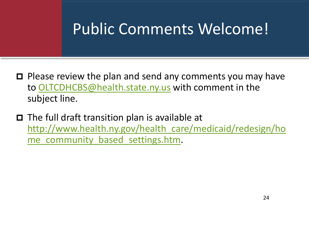### Public Comments Welcome!

- $\Box$  Please review the plan and send any comments you may have to [OLTCDHCBS@health.state.ny.us](mailto:OLTCDHCBS@health.state.ny.us) with comment in the subject line.
- $\Box$  The full draft transition plan is available at [http://www.health.ny.gov/health\\_care/medicaid/redesign/ho](http://www.health.ny.gov/health_care/medicaid/redesign/home_community_based_settings.htm) me community based settings.htm.